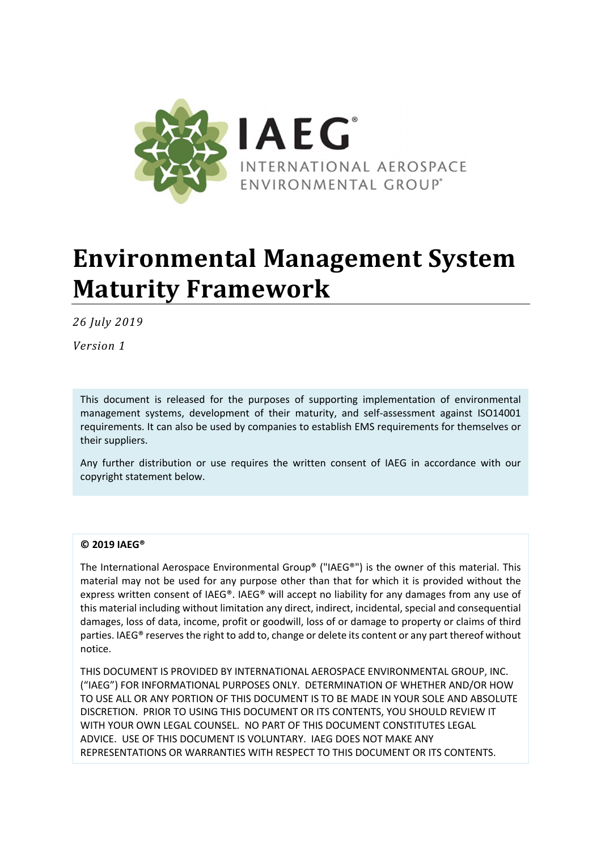

# **Environmental Management System Maturity Framework**

*26 July 2019* 

*Version 1* 

This document is released for the purposes of supporting implementation of environmental management systems, development of their maturity, and self-assessment against ISO14001 requirements. It can also be used by companies to establish EMS requirements for themselves or their suppliers.

Any further distribution or use requires the written consent of IAEG in accordance with our copyright statement below.

#### **© 2019 IAEG®**

The International Aerospace Environmental Group® ("IAEG®") is the owner of this material. This material may not be used for any purpose other than that for which it is provided without the express written consent of IAEG®. IAEG® will accept no liability for any damages from any use of this material including without limitation any direct, indirect, incidental, special and consequential damages, loss of data, income, profit or goodwill, loss of or damage to property or claims of third parties. IAEG® reserves the right to add to, change or delete its content or any part thereof without notice.

THIS DOCUMENT IS PROVIDED BY INTERNATIONAL AEROSPACE ENVIRONMENTAL GROUP, INC. ("IAEG") FOR INFORMATIONAL PURPOSES ONLY. DETERMINATION OF WHETHER AND/OR HOW TO USE ALL OR ANY PORTION OF THIS DOCUMENT IS TO BE MADE IN YOUR SOLE AND ABSOLUTE DISCRETION. PRIOR TO USING THIS DOCUMENT OR ITS CONTENTS, YOU SHOULD REVIEW IT WITH YOUR OWN LEGAL COUNSEL. NO PART OF THIS DOCUMENT CONSTITUTES LEGAL ADVICE. USE OF THIS DOCUMENT IS VOLUNTARY. IAEG DOES NOT MAKE ANY REPRESENTATIONS OR WARRANTIES WITH RESPECT TO THIS DOCUMENT OR ITS CONTENTS.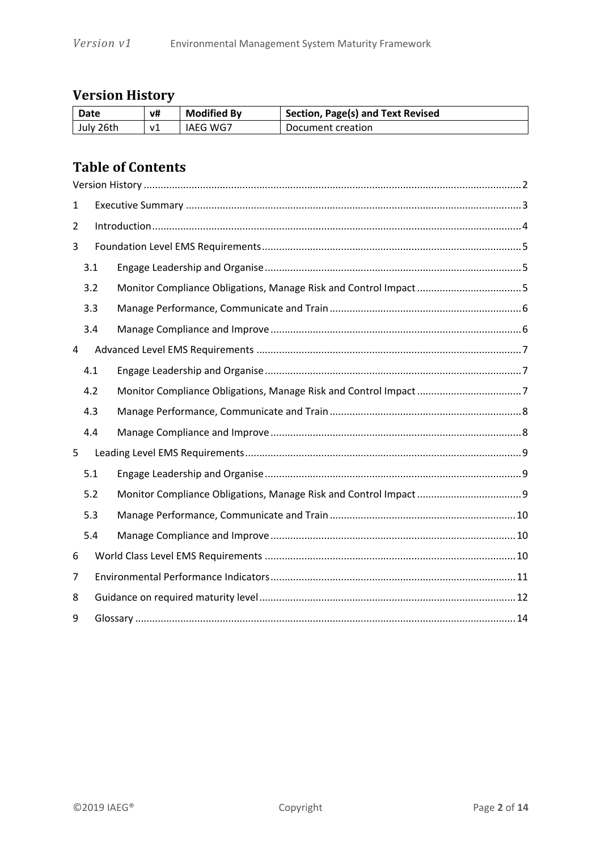# **Version History**

| Date      | v# | <b>Modified By</b> | Section, Page(s) and Text Revised |
|-----------|----|--------------------|-----------------------------------|
| July 26th | v1 | IAEG WG7           | Document creation                 |

## **Table of Contents**

| $\mathbf{1}$ |     |  |  |  |  |
|--------------|-----|--|--|--|--|
| 2            |     |  |  |  |  |
| 3            |     |  |  |  |  |
|              | 3.1 |  |  |  |  |
|              | 3.2 |  |  |  |  |
|              | 3.3 |  |  |  |  |
|              | 3.4 |  |  |  |  |
| 4            |     |  |  |  |  |
|              | 4.1 |  |  |  |  |
|              | 4.2 |  |  |  |  |
|              | 4.3 |  |  |  |  |
|              | 4.4 |  |  |  |  |
| 5            |     |  |  |  |  |
|              | 5.1 |  |  |  |  |
|              | 5.2 |  |  |  |  |
|              | 5.3 |  |  |  |  |
|              | 5.4 |  |  |  |  |
| 6            |     |  |  |  |  |
| 7            |     |  |  |  |  |
| 8            |     |  |  |  |  |
| 9            |     |  |  |  |  |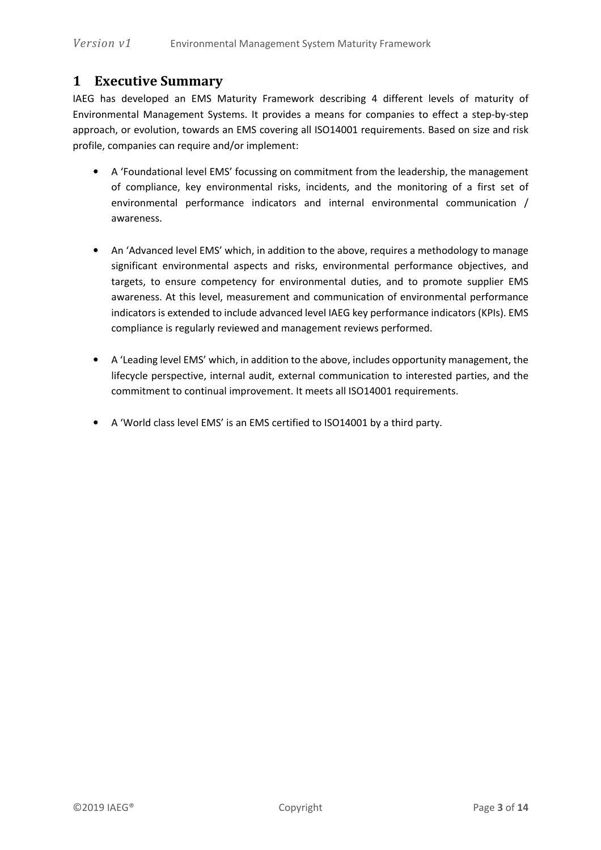## **1 Executive Summary**

IAEG has developed an EMS Maturity Framework describing 4 different levels of maturity of Environmental Management Systems. It provides a means for companies to effect a step-by-step approach, or evolution, towards an EMS covering all ISO14001 requirements. Based on size and risk profile, companies can require and/or implement:

- A 'Foundational level EMS' focussing on commitment from the leadership, the management of compliance, key environmental risks, incidents, and the monitoring of a first set of environmental performance indicators and internal environmental communication / awareness.
- An 'Advanced level EMS' which, in addition to the above, requires a methodology to manage significant environmental aspects and risks, environmental performance objectives, and targets, to ensure competency for environmental duties, and to promote supplier EMS awareness. At this level, measurement and communication of environmental performance indicators is extended to include advanced level IAEG key performance indicators (KPIs). EMS compliance is regularly reviewed and management reviews performed.
- A 'Leading level EMS' which, in addition to the above, includes opportunity management, the lifecycle perspective, internal audit, external communication to interested parties, and the commitment to continual improvement. It meets all ISO14001 requirements.
- A 'World class level EMS' is an EMS certified to ISO14001 by a third party.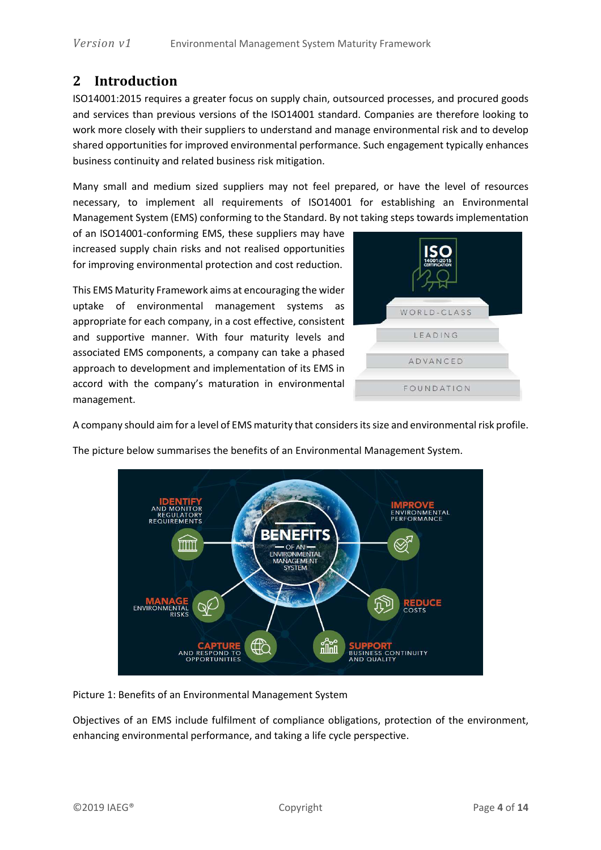## **2 Introduction**

ISO14001:2015 requires a greater focus on supply chain, outsourced processes, and procured goods and services than previous versions of the ISO14001 standard. Companies are therefore looking to work more closely with their suppliers to understand and manage environmental risk and to develop shared opportunities for improved environmental performance. Such engagement typically enhances business continuity and related business risk mitigation.

Many small and medium sized suppliers may not feel prepared, or have the level of resources necessary, to implement all requirements of ISO14001 for establishing an Environmental Management System (EMS) conforming to the Standard. By not taking steps towards implementation

of an ISO14001-conforming EMS, these suppliers may have increased supply chain risks and not realised opportunities for improving environmental protection and cost reduction.

This EMS Maturity Framework aims at encouraging the wider uptake of environmental management systems as appropriate for each company, in a cost effective, consistent and supportive manner. With four maturity levels and associated EMS components, a company can take a phased approach to development and implementation of its EMS in accord with the company's maturation in environmental management.



A company should aim for a level of EMS maturity that considers its size and environmental risk profile.

The picture below summarises the benefits of an Environmental Management System.



Picture 1: Benefits of an Environmental Management System

Objectives of an EMS include fulfilment of compliance obligations, protection of the environment, enhancing environmental performance, and taking a life cycle perspective.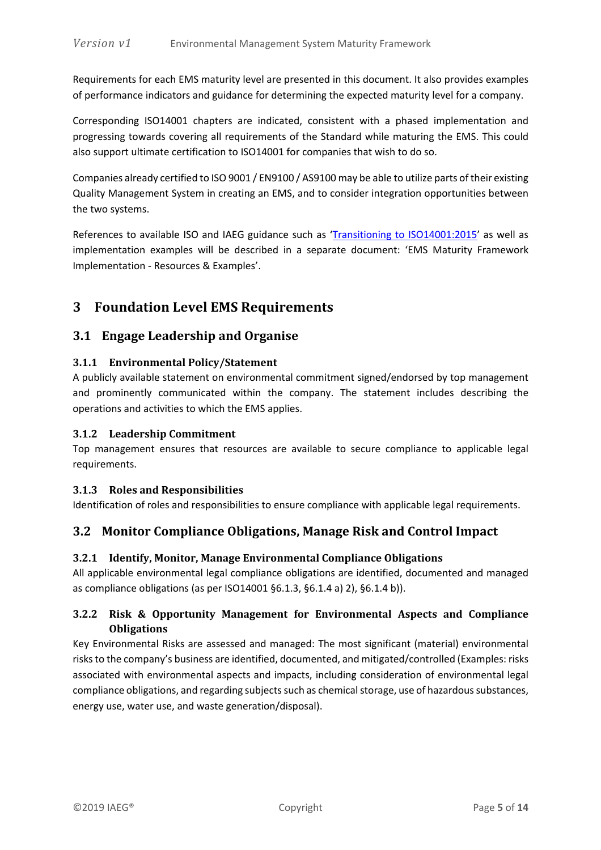Requirements for each EMS maturity level are presented in this document. It also provides examples of performance indicators and guidance for determining the expected maturity level for a company.

Corresponding ISO14001 chapters are indicated, consistent with a phased implementation and progressing towards covering all requirements of the Standard while maturing the EMS. This could also support ultimate certification to ISO14001 for companies that wish to do so.

Companies already certified to ISO 9001 / EN9100 / AS9100 may be able to utilize parts of their existing Quality Management System in creating an EMS, and to consider integration opportunities between the two systems.

References to available ISO and IAEG guidance such as 'Transitioning to ISO14001:2015' as well as implementation examples will be described in a separate document: 'EMS Maturity Framework Implementation - Resources & Examples'.

## **3 Foundation Level EMS Requirements**

#### **3.1 Engage Leadership and Organise**

#### **3.1.1 Environmental Policy/Statement**

A publicly available statement on environmental commitment signed/endorsed by top management and prominently communicated within the company. The statement includes describing the operations and activities to which the EMS applies.

#### **3.1.2 Leadership Commitment**

Top management ensures that resources are available to secure compliance to applicable legal requirements.

#### **3.1.3 Roles and Responsibilities**

Identification of roles and responsibilities to ensure compliance with applicable legal requirements.

#### **3.2 Monitor Compliance Obligations, Manage Risk and Control Impact**

#### **3.2.1 Identify, Monitor, Manage Environmental Compliance Obligations**

All applicable environmental legal compliance obligations are identified, documented and managed as compliance obligations (as per ISO14001 §6.1.3, §6.1.4 a) 2), §6.1.4 b)).

#### **3.2.2 Risk & Opportunity Management for Environmental Aspects and Compliance Obligations**

Key Environmental Risks are assessed and managed: The most significant (material) environmental risks to the company's business are identified, documented, and mitigated/controlled (Examples: risks associated with environmental aspects and impacts, including consideration of environmental legal compliance obligations, and regarding subjects such as chemical storage, use of hazardous substances, energy use, water use, and waste generation/disposal).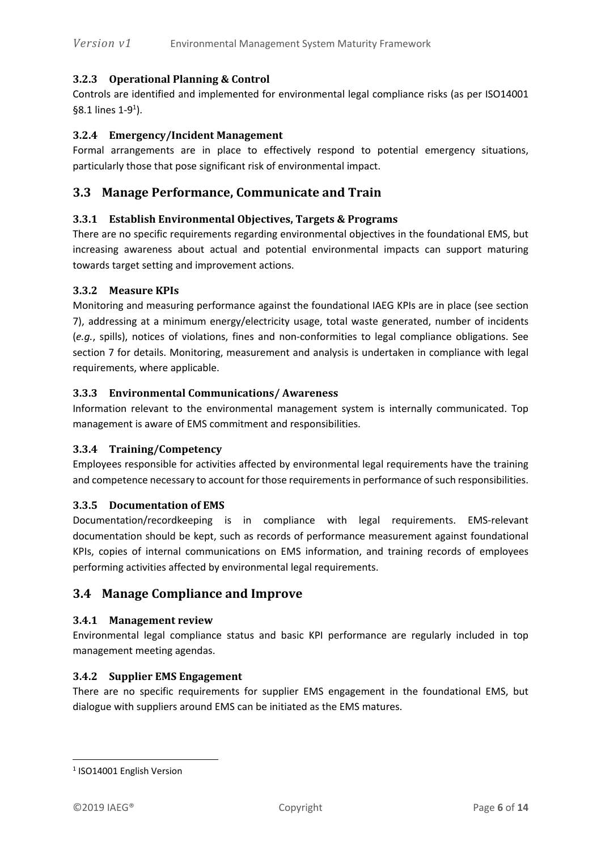#### **3.2.3 Operational Planning & Control**

Controls are identified and implemented for environmental legal compliance risks (as per ISO14001  $§8.1$  lines 1-9<sup>1</sup>).

#### **3.2.4 Emergency/Incident Management**

Formal arrangements are in place to effectively respond to potential emergency situations, particularly those that pose significant risk of environmental impact.

#### **3.3 Manage Performance, Communicate and Train**

#### **3.3.1 Establish Environmental Objectives, Targets & Programs**

There are no specific requirements regarding environmental objectives in the foundational EMS, but increasing awareness about actual and potential environmental impacts can support maturing towards target setting and improvement actions.

#### **3.3.2 Measure KPIs**

Monitoring and measuring performance against the foundational IAEG KPIs are in place (see section 7), addressing at a minimum energy/electricity usage, total waste generated, number of incidents (*e.g.*, spills), notices of violations, fines and non-conformities to legal compliance obligations. See section 7 for details. Monitoring, measurement and analysis is undertaken in compliance with legal requirements, where applicable.

#### **3.3.3 Environmental Communications/ Awareness**

Information relevant to the environmental management system is internally communicated. Top management is aware of EMS commitment and responsibilities.

#### **3.3.4 Training/Competency**

Employees responsible for activities affected by environmental legal requirements have the training and competence necessary to account for those requirements in performance of such responsibilities.

#### **3.3.5 Documentation of EMS**

Documentation/recordkeeping is in compliance with legal requirements. EMS-relevant documentation should be kept, such as records of performance measurement against foundational KPIs, copies of internal communications on EMS information, and training records of employees performing activities affected by environmental legal requirements.

#### **3.4 Manage Compliance and Improve**

#### **3.4.1 Management review**

Environmental legal compliance status and basic KPI performance are regularly included in top management meeting agendas.

#### **3.4.2 Supplier EMS Engagement**

There are no specific requirements for supplier EMS engagement in the foundational EMS, but dialogue with suppliers around EMS can be initiated as the EMS matures.

 $\overline{\phantom{0}}$ 

<sup>&</sup>lt;sup>1</sup> ISO14001 English Version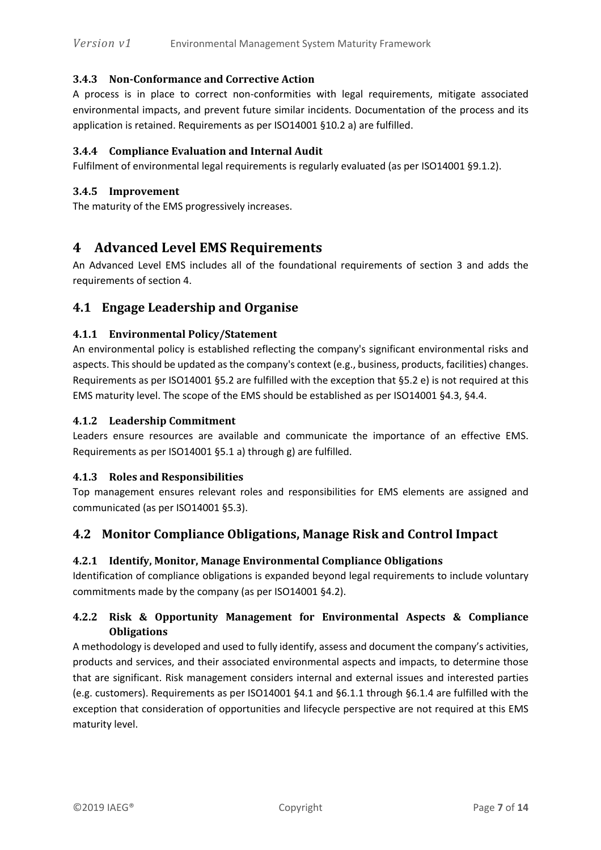#### **3.4.3 Non-Conformance and Corrective Action**

A process is in place to correct non-conformities with legal requirements, mitigate associated environmental impacts, and prevent future similar incidents. Documentation of the process and its application is retained. Requirements as per ISO14001 §10.2 a) are fulfilled.

#### **3.4.4 Compliance Evaluation and Internal Audit**

Fulfilment of environmental legal requirements is regularly evaluated (as per ISO14001 §9.1.2).

#### **3.4.5 Improvement**

The maturity of the EMS progressively increases.

## **4 Advanced Level EMS Requirements**

An Advanced Level EMS includes all of the foundational requirements of section 3 and adds the requirements of section 4.

### **4.1 Engage Leadership and Organise**

#### **4.1.1 Environmental Policy/Statement**

An environmental policy is established reflecting the company's significant environmental risks and aspects. This should be updated as the company's context (e.g., business, products, facilities) changes. Requirements as per ISO14001 §5.2 are fulfilled with the exception that §5.2 e) is not required at this EMS maturity level. The scope of the EMS should be established as per ISO14001 §4.3, §4.4.

#### **4.1.2 Leadership Commitment**

Leaders ensure resources are available and communicate the importance of an effective EMS. Requirements as per ISO14001 §5.1 a) through g) are fulfilled.

#### **4.1.3 Roles and Responsibilities**

Top management ensures relevant roles and responsibilities for EMS elements are assigned and communicated (as per ISO14001 §5.3).

#### **4.2 Monitor Compliance Obligations, Manage Risk and Control Impact**

#### **4.2.1 Identify, Monitor, Manage Environmental Compliance Obligations**

Identification of compliance obligations is expanded beyond legal requirements to include voluntary commitments made by the company (as per ISO14001 §4.2).

#### **4.2.2 Risk & Opportunity Management for Environmental Aspects & Compliance Obligations**

A methodology is developed and used to fully identify, assess and document the company's activities, products and services, and their associated environmental aspects and impacts, to determine those that are significant. Risk management considers internal and external issues and interested parties (e.g. customers). Requirements as per ISO14001 §4.1 and §6.1.1 through §6.1.4 are fulfilled with the exception that consideration of opportunities and lifecycle perspective are not required at this EMS maturity level.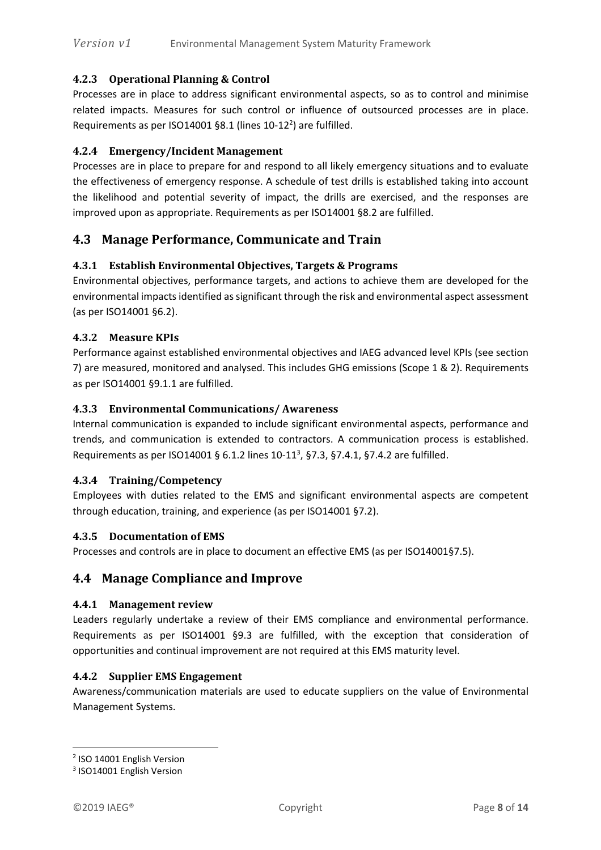#### **4.2.3 Operational Planning & Control**

Processes are in place to address significant environmental aspects, so as to control and minimise related impacts. Measures for such control or influence of outsourced processes are in place. Requirements as per ISO14001 §8.1 (lines 10-12<sup>2</sup>) are fulfilled.

#### **4.2.4 Emergency/Incident Management**

Processes are in place to prepare for and respond to all likely emergency situations and to evaluate the effectiveness of emergency response. A schedule of test drills is established taking into account the likelihood and potential severity of impact, the drills are exercised, and the responses are improved upon as appropriate. Requirements as per ISO14001 §8.2 are fulfilled.

#### **4.3 Manage Performance, Communicate and Train**

#### **4.3.1 Establish Environmental Objectives, Targets & Programs**

Environmental objectives, performance targets, and actions to achieve them are developed for the environmental impacts identified as significant through the risk and environmental aspect assessment (as per ISO14001 §6.2).

#### **4.3.2 Measure KPIs**

Performance against established environmental objectives and IAEG advanced level KPIs (see section 7) are measured, monitored and analysed. This includes GHG emissions (Scope 1 & 2). Requirements as per ISO14001 §9.1.1 are fulfilled.

#### **4.3.3 Environmental Communications/ Awareness**

Internal communication is expanded to include significant environmental aspects, performance and trends, and communication is extended to contractors. A communication process is established. Requirements as per ISO14001 § 6.1.2 lines 10-11<sup>3</sup>, §7.3, §7.4.1, §7.4.2 are fulfilled.

#### **4.3.4 Training/Competency**

Employees with duties related to the EMS and significant environmental aspects are competent through education, training, and experience (as per ISO14001 §7.2).

#### **4.3.5 Documentation of EMS**

Processes and controls are in place to document an effective EMS (as per ISO14001§7.5).

#### **4.4 Manage Compliance and Improve**

#### **4.4.1 Management review**

Leaders regularly undertake a review of their EMS compliance and environmental performance. Requirements as per ISO14001 §9.3 are fulfilled, with the exception that consideration of opportunities and continual improvement are not required at this EMS maturity level.

#### **4.4.2 Supplier EMS Engagement**

Awareness/communication materials are used to educate suppliers on the value of Environmental Management Systems.

 $\overline{a}$ 

<sup>&</sup>lt;sup>2</sup> ISO 14001 English Version

<sup>&</sup>lt;sup>3</sup> ISO14001 English Version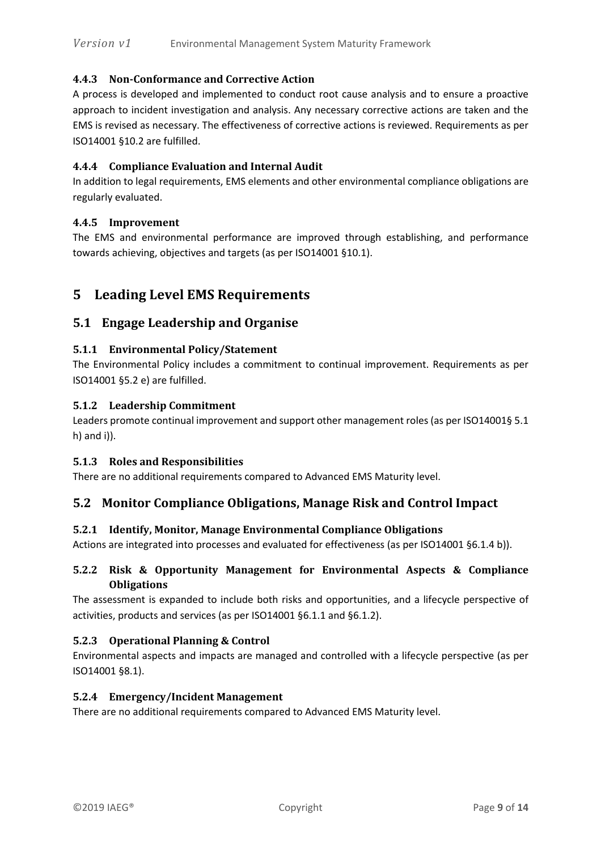#### **4.4.3 Non-Conformance and Corrective Action**

A process is developed and implemented to conduct root cause analysis and to ensure a proactive approach to incident investigation and analysis. Any necessary corrective actions are taken and the EMS is revised as necessary. The effectiveness of corrective actions is reviewed. Requirements as per ISO14001 §10.2 are fulfilled.

#### **4.4.4 Compliance Evaluation and Internal Audit**

In addition to legal requirements, EMS elements and other environmental compliance obligations are regularly evaluated.

#### **4.4.5 Improvement**

The EMS and environmental performance are improved through establishing, and performance towards achieving, objectives and targets (as per ISO14001 §10.1).

## **5 Leading Level EMS Requirements**

#### **5.1 Engage Leadership and Organise**

#### **5.1.1 Environmental Policy/Statement**

The Environmental Policy includes a commitment to continual improvement. Requirements as per ISO14001 §5.2 e) are fulfilled.

#### **5.1.2 Leadership Commitment**

Leaders promote continual improvement and support other management roles (as per ISO14001§ 5.1 h) and i)).

#### **5.1.3 Roles and Responsibilities**

There are no additional requirements compared to Advanced EMS Maturity level.

#### **5.2 Monitor Compliance Obligations, Manage Risk and Control Impact**

#### **5.2.1 Identify, Monitor, Manage Environmental Compliance Obligations**

Actions are integrated into processes and evaluated for effectiveness (as per ISO14001 §6.1.4 b)).

#### **5.2.2 Risk & Opportunity Management for Environmental Aspects & Compliance Obligations**

The assessment is expanded to include both risks and opportunities, and a lifecycle perspective of activities, products and services (as per ISO14001 §6.1.1 and §6.1.2).

#### **5.2.3 Operational Planning & Control**

Environmental aspects and impacts are managed and controlled with a lifecycle perspective (as per ISO14001 §8.1).

#### **5.2.4 Emergency/Incident Management**

There are no additional requirements compared to Advanced EMS Maturity level.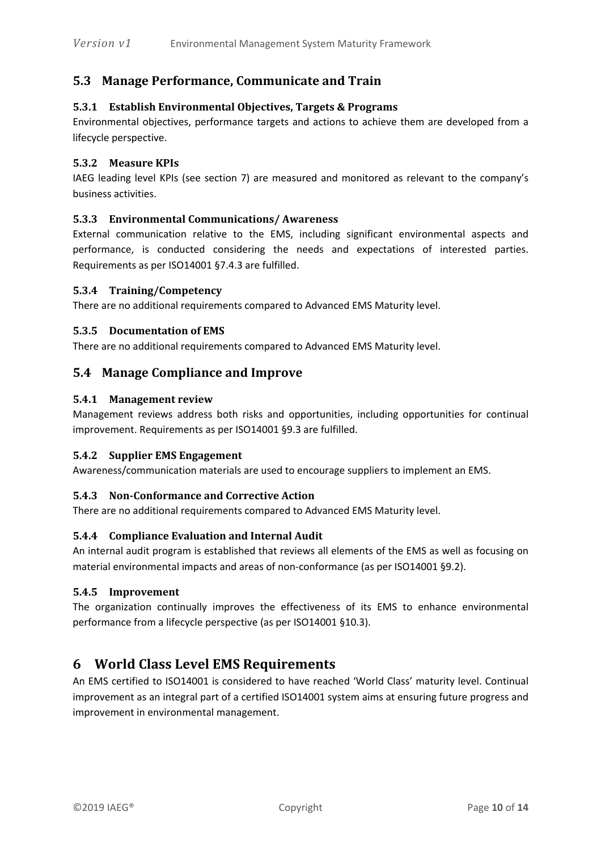## **5.3 Manage Performance, Communicate and Train**

#### **5.3.1 Establish Environmental Objectives, Targets & Programs**

Environmental objectives, performance targets and actions to achieve them are developed from a lifecycle perspective.

#### **5.3.2 Measure KPIs**

IAEG leading level KPIs (see section 7) are measured and monitored as relevant to the company's business activities.

#### **5.3.3 Environmental Communications/ Awareness**

External communication relative to the EMS, including significant environmental aspects and performance, is conducted considering the needs and expectations of interested parties. Requirements as per ISO14001 §7.4.3 are fulfilled.

#### **5.3.4 Training/Competency**

There are no additional requirements compared to Advanced EMS Maturity level.

#### **5.3.5 Documentation of EMS**

There are no additional requirements compared to Advanced EMS Maturity level.

#### **5.4 Manage Compliance and Improve**

#### **5.4.1 Management review**

Management reviews address both risks and opportunities, including opportunities for continual improvement. Requirements as per ISO14001 §9.3 are fulfilled.

#### **5.4.2 Supplier EMS Engagement**

Awareness/communication materials are used to encourage suppliers to implement an EMS.

#### **5.4.3 Non-Conformance and Corrective Action**

There are no additional requirements compared to Advanced EMS Maturity level.

#### **5.4.4 Compliance Evaluation and Internal Audit**

An internal audit program is established that reviews all elements of the EMS as well as focusing on material environmental impacts and areas of non-conformance (as per ISO14001 §9.2).

#### **5.4.5 Improvement**

The organization continually improves the effectiveness of its EMS to enhance environmental performance from a lifecycle perspective (as per ISO14001 §10.3).

## **6 World Class Level EMS Requirements**

An EMS certified to ISO14001 is considered to have reached 'World Class' maturity level. Continual improvement as an integral part of a certified ISO14001 system aims at ensuring future progress and improvement in environmental management.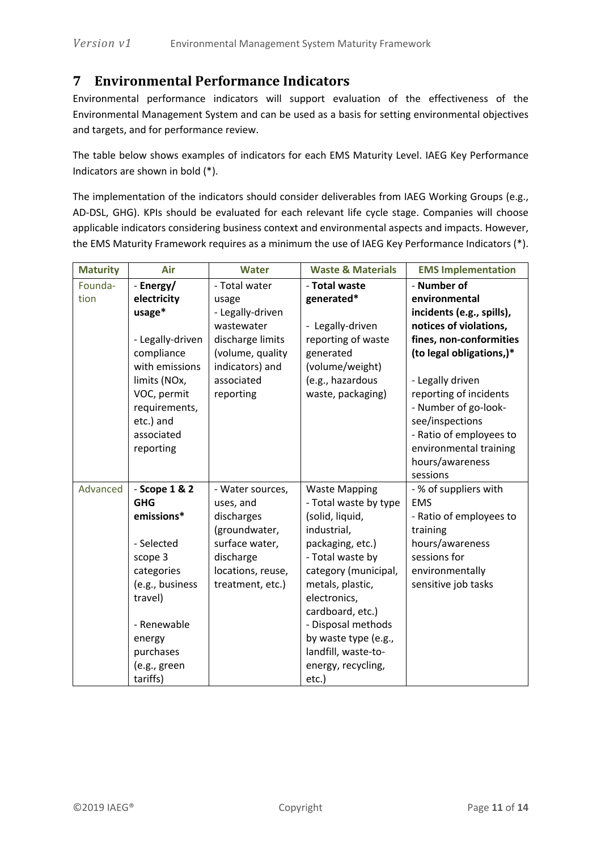## **7 Environmental Performance Indicators**

Environmental performance indicators will support evaluation of the effectiveness of the Environmental Management System and can be used as a basis for setting environmental objectives and targets, and for performance review.

The table below shows examples of indicators for each EMS Maturity Level. IAEG Key Performance Indicators are shown in bold (\*).

The implementation of the indicators should consider deliverables from IAEG Working Groups (e.g., AD-DSL, GHG). KPIs should be evaluated for each relevant life cycle stage. Companies will choose applicable indicators considering business context and environmental aspects and impacts. However, the EMS Maturity Framework requires as a minimum the use of IAEG Key Performance Indicators (\*).

| <b>Maturity</b> | Air                     | <b>Water</b>      | <b>Waste &amp; Materials</b> | <b>EMS Implementation</b>                         |
|-----------------|-------------------------|-------------------|------------------------------|---------------------------------------------------|
| Founda-         | - Energy/               | - Total water     | - Total waste                | - Number of                                       |
| tion            | electricity             | usage             | generated*                   | environmental                                     |
|                 | usage*                  | - Legally-driven  |                              | incidents (e.g., spills),                         |
|                 |                         | wastewater        | - Legally-driven             | notices of violations,                            |
|                 | - Legally-driven        | discharge limits  | reporting of waste           | fines, non-conformities                           |
|                 | compliance              | (volume, quality  | generated                    | (to legal obligations,)*                          |
|                 | with emissions          | indicators) and   | (volume/weight)              |                                                   |
|                 | limits (NOx,            | associated        | (e.g., hazardous             | - Legally driven                                  |
|                 | VOC, permit             | reporting         | waste, packaging)            | reporting of incidents                            |
|                 | requirements,           |                   |                              | - Number of go-look-                              |
|                 | etc.) and<br>associated |                   |                              | see/inspections                                   |
|                 | reporting               |                   |                              | - Ratio of employees to<br>environmental training |
|                 |                         |                   |                              | hours/awareness                                   |
|                 |                         |                   |                              | sessions                                          |
| Advanced        | - Scope 1 & 2           | - Water sources,  | <b>Waste Mapping</b>         | - % of suppliers with                             |
|                 | <b>GHG</b>              | uses, and         | - Total waste by type        | <b>EMS</b>                                        |
|                 | emissions*              | discharges        | (solid, liquid,              | - Ratio of employees to                           |
|                 |                         | (groundwater,     | industrial,                  | training                                          |
|                 | - Selected              | surface water,    | packaging, etc.)             | hours/awareness                                   |
|                 | scope 3                 | discharge         | - Total waste by             | sessions for                                      |
|                 | categories              | locations, reuse, | category (municipal,         | environmentally                                   |
|                 | (e.g., business         | treatment, etc.)  | metals, plastic,             | sensitive job tasks                               |
|                 | travel)                 |                   | electronics,                 |                                                   |
|                 |                         |                   | cardboard, etc.)             |                                                   |
|                 | - Renewable             |                   | - Disposal methods           |                                                   |
|                 | energy                  |                   | by waste type (e.g.,         |                                                   |
|                 | purchases               |                   | landfill, waste-to-          |                                                   |
|                 | (e.g., green            |                   | energy, recycling,           |                                                   |
|                 | tariffs)                |                   | etc.)                        |                                                   |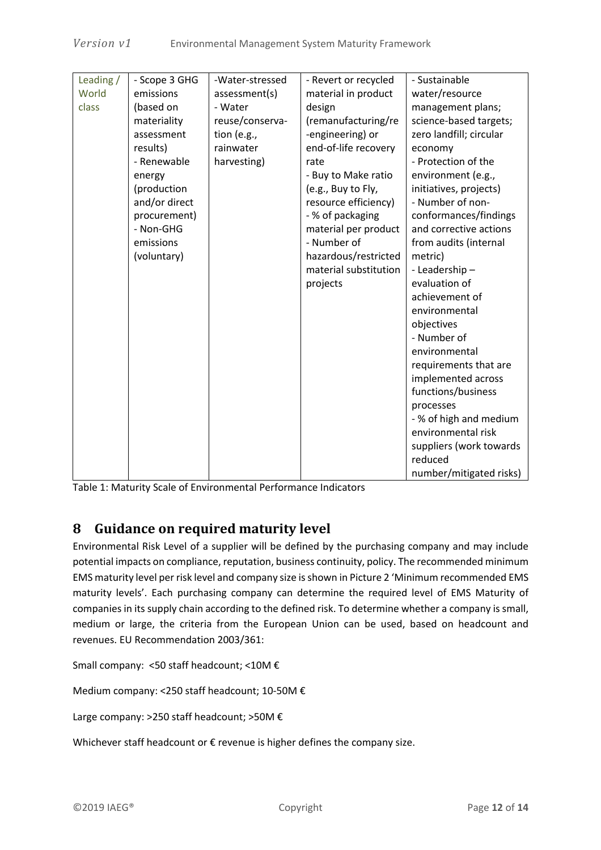| Leading / | - Scope 3 GHG | -Water-stressed | - Revert or recycled  | - Sustainable           |
|-----------|---------------|-----------------|-----------------------|-------------------------|
| World     | emissions     | assessment(s)   | material in product   | water/resource          |
| class     | (based on     | - Water         | design                | management plans;       |
|           | materiality   | reuse/conserva- | (remanufacturing/re   | science-based targets;  |
|           | assessment    | tion (e.g.,     | -engineering) or      | zero landfill; circular |
|           | results)      | rainwater       | end-of-life recovery  | economy                 |
|           | - Renewable   | harvesting)     | rate                  | - Protection of the     |
|           | energy        |                 | - Buy to Make ratio   | environment (e.g.,      |
|           | (production   |                 | (e.g., Buy to Fly,    | initiatives, projects)  |
|           | and/or direct |                 | resource efficiency)  | - Number of non-        |
|           | procurement)  |                 | - % of packaging      | conformances/findings   |
|           | - Non-GHG     |                 | material per product  | and corrective actions  |
|           | emissions     |                 | - Number of           | from audits (internal   |
|           | (voluntary)   |                 | hazardous/restricted  | metric)                 |
|           |               |                 | material substitution | - Leadership -          |
|           |               |                 | projects              | evaluation of           |
|           |               |                 |                       | achievement of          |
|           |               |                 |                       | environmental           |
|           |               |                 |                       | objectives              |
|           |               |                 |                       | - Number of             |
|           |               |                 |                       | environmental           |
|           |               |                 |                       | requirements that are   |
|           |               |                 |                       | implemented across      |
|           |               |                 |                       | functions/business      |
|           |               |                 |                       | processes               |
|           |               |                 |                       | - % of high and medium  |
|           |               |                 |                       | environmental risk      |
|           |               |                 |                       | suppliers (work towards |
|           |               |                 |                       | reduced                 |
|           |               |                 |                       | number/mitigated risks) |

Table 1: Maturity Scale of Environmental Performance Indicators

## **8 Guidance on required maturity level**

Environmental Risk Level of a supplier will be defined by the purchasing company and may include potential impacts on compliance, reputation, business continuity, policy. The recommended minimum EMS maturity level per risk level and company size is shown in Picture 2 'Minimum recommended EMS maturity levels'. Each purchasing company can determine the required level of EMS Maturity of companies in its supply chain according to the defined risk. To determine whether a company is small, medium or large, the criteria from the European Union can be used, based on headcount and revenues. EU Recommendation 2003/361:

Small company: <50 staff headcount; <10M €

Medium company: <250 staff headcount; 10-50M €

Large company: >250 staff headcount; >50M €

Whichever staff headcount or € revenue is higher defines the company size.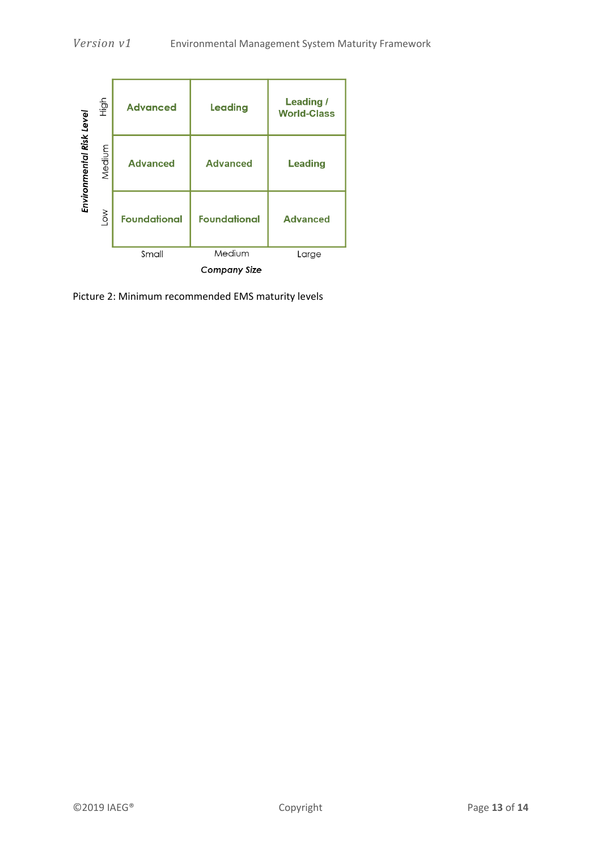

Picture 2: Minimum recommended EMS maturity levels